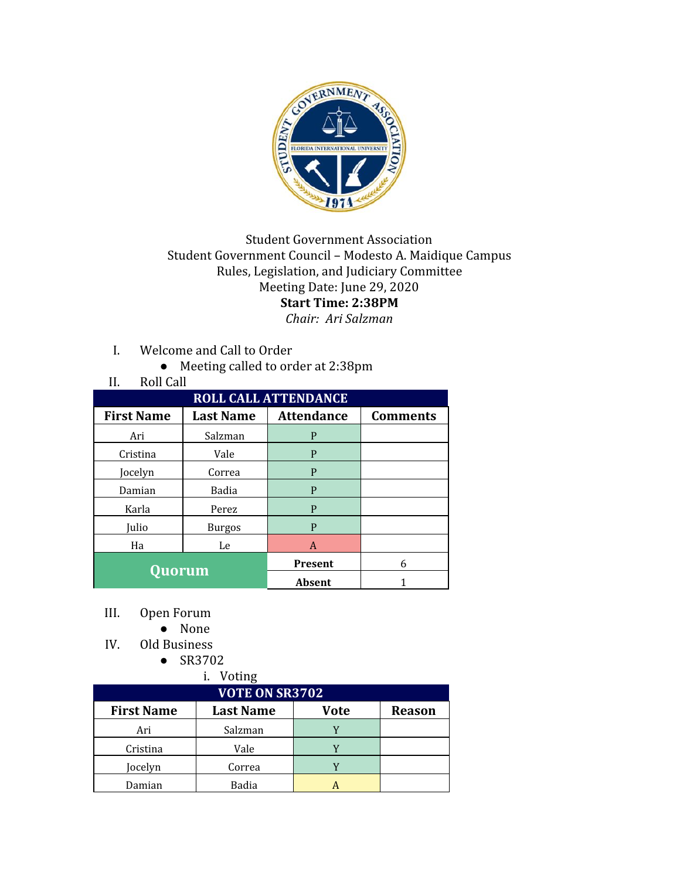

## Student Government Association Student Government Council – Modesto A. Maidique Campus Rules, Legislation, and Judiciary Committee Meeting Date: June 29, 2020 **Start Time: 2:38PM**

- *Chair: Ari Salzman*
- I. Welcome and Call to Order
	- Meeting called to order at 2:38pm

| <b>Roll Call</b><br>II.     |                  |                   |                 |
|-----------------------------|------------------|-------------------|-----------------|
| <b>ROLL CALL ATTENDANCE</b> |                  |                   |                 |
| <b>First Name</b>           | <b>Last Name</b> | <b>Attendance</b> | <b>Comments</b> |
| Ari                         | Salzman          | P                 |                 |
| Cristina                    | Vale             | P                 |                 |
| Jocelyn                     | Correa           | P                 |                 |
| Damian                      | Badia            | P                 |                 |
| Karla                       | Perez            | P                 |                 |
| Julio                       | <b>Burgos</b>    | P                 |                 |
| Ha                          | Le               | A                 |                 |
| <b>Quorum</b>               |                  | <b>Present</b>    | 6               |
|                             |                  | Absent            |                 |

- III. Open Forum
	- None
- IV. Old Business
	- SR3702

|                       | i. Voting        |             |               |
|-----------------------|------------------|-------------|---------------|
| <b>VOTE ON SR3702</b> |                  |             |               |
| <b>First Name</b>     | <b>Last Name</b> | <b>Vote</b> | <b>Reason</b> |
| Ari                   | Salzman          |             |               |
| Cristina              | Vale             |             |               |
| Jocelyn               | Correa           |             |               |
| Damian                | <b>Badia</b>     |             |               |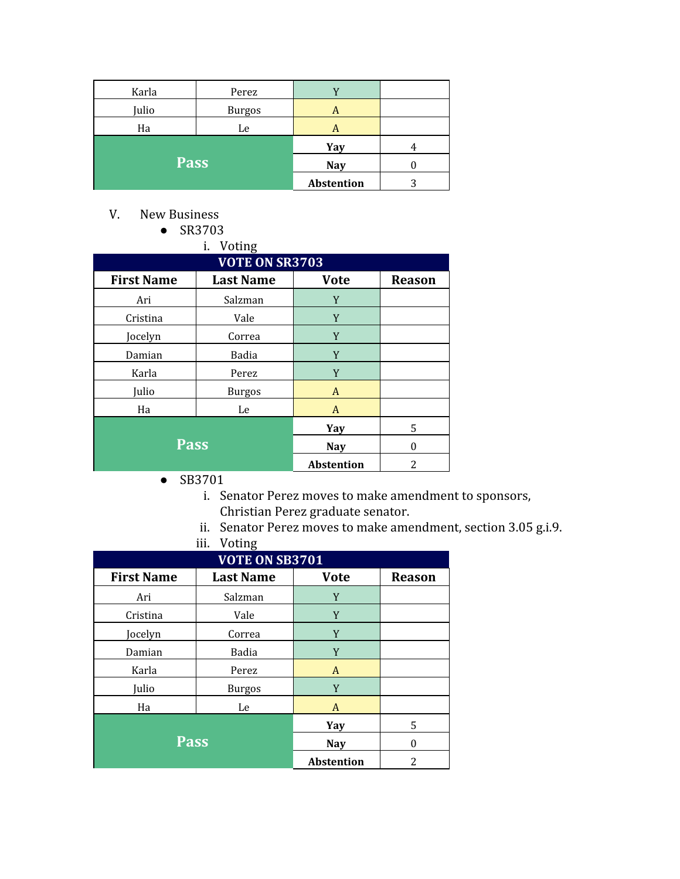| Karla       | Perez         |            |   |
|-------------|---------------|------------|---|
| Julio       | <b>Burgos</b> | A          |   |
| Ha          | Le            | A          |   |
| <b>Pass</b> |               | Yay        |   |
|             |               | <b>Nay</b> |   |
|             |               | Abstention | 3 |

V. New Business

● SR3703  $\overline{\phantom{a}}$ i.  $\overline{\phantom{a}}$ 

| <b>VOTE ON SR3703</b> |                  |                   |               |
|-----------------------|------------------|-------------------|---------------|
| <b>First Name</b>     | <b>Last Name</b> | <b>Vote</b>       | <b>Reason</b> |
| Ari                   | Salzman          | Y                 |               |
| Cristina              | Vale             | Y                 |               |
| Jocelyn               | Correa           | Y                 |               |
| Damian                | Badia            | Y                 |               |
| Karla                 | Perez            | Y                 |               |
| Julio                 | <b>Burgos</b>    | A                 |               |
| Ha                    | Le               | A                 |               |
|                       |                  | Yay               | 5             |
| <b>Pass</b>           |                  | <b>Nay</b>        | 0             |
|                       |                  | <b>Abstention</b> | 2             |

- SB3701
	- i. Senator Perez moves to make amendment to sponsors, Christian Perez graduate senator.
	- ii. Senator Perez moves to make amendment, section 3.05 g.i.9.
	- iii. Voting

| $\cdot$ $\circ$ $\cdot$ $\cdot$ $\cdot$ $\circ$<br><b>VOTE ON SB3701</b> |                  |                   |               |
|--------------------------------------------------------------------------|------------------|-------------------|---------------|
| <b>First Name</b>                                                        | <b>Last Name</b> | <b>Vote</b>       | <b>Reason</b> |
| Ari                                                                      | Salzman          | Y                 |               |
| Cristina                                                                 | Vale             | Y                 |               |
| Jocelyn                                                                  | Correa           | Y                 |               |
| Damian                                                                   | Badia            | Y                 |               |
| Karla                                                                    | Perez            | A                 |               |
| Julio                                                                    | <b>Burgos</b>    | Y                 |               |
| Ha                                                                       | Le               | A                 |               |
|                                                                          |                  | Yay               | 5             |
| <b>Pass</b>                                                              |                  | <b>Nay</b>        | $\Omega$      |
|                                                                          |                  | <b>Abstention</b> | 2             |